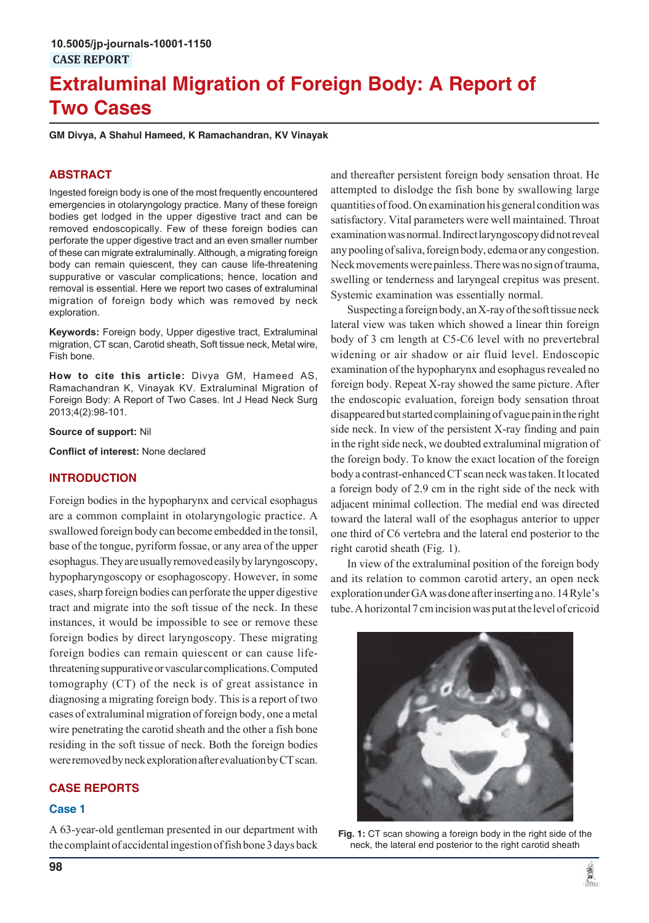# **Extraluminal Migration of Foreign Body: A Report of Two Cases**

**GM Divya, A Shahul Hameed, K Ramachandran, KV Vinayak**

## **ABSTRACT**

Ingested foreign body is one of the most frequently encountered emergencies in otolaryngology practice. Many of these foreign bodies get lodged in the upper digestive tract and can be removed endoscopically. Few of these foreign bodies can perforate the upper digestive tract and an even smaller number of these can migrate extraluminally. Although, a migrating foreign body can remain quiescent, they can cause life-threatening suppurative or vascular complications; hence, location and removal is essential. Here we report two cases of extraluminal migration of foreign body which was removed by neck exploration.

**Keywords:** Foreign body, Upper digestive tract, Extraluminal migration, CT scan, Carotid sheath, Soft tissue neck, Metal wire, Fish bone.

**How to cite this article:** Divya GM, Hameed AS, Ramachandran K, Vinayak KV. Extraluminal Migration of Foreign Body: A Report of Two Cases. Int J Head Neck Surg 2013;4(2):98-101.

**Source of support:** Nil

**Conflict of interest:** None declared

## **INTRODUCTION**

Foreign bodies in the hypopharynx and cervical esophagus are a common complaint in otolaryngologic practice. A swallowed foreign body can become embedded in the tonsil, base of the tongue, pyriform fossae, or any area of the upper esophagus. They are usually removed easily by laryngoscopy, hypopharyngoscopy or esophagoscopy. However, in some cases, sharp foreign bodies can perforate the upper digestive tract and migrate into the soft tissue of the neck. In these instances, it would be impossible to see or remove these foreign bodies by direct laryngoscopy. These migrating foreign bodies can remain quiescent or can cause lifethreatening suppurative or vascular complications. Computed tomography (CT) of the neck is of great assistance in diagnosing a migrating foreign body. This is a report of two cases of extraluminal migration of foreign body, one a metal wire penetrating the carotid sheath and the other a fish bone residing in the soft tissue of neck. Both the foreign bodies were removed by neck exploration after evaluation by CT scan.

# **CASE REPORTS**

## **Case 1**

A 63-year-old gentleman presented in our department with the complaint of accidental ingestion of fish bone 3 days back and thereafter persistent foreign body sensation throat. He attempted to dislodge the fish bone by swallowing large quantities of food. On examination his general condition was satisfactory. Vital parameters were well maintained. Throat examination was normal. Indirect laryngoscopy did not reveal any pooling of saliva, foreign body, edema or any congestion. Neck movements were painless. There was no sign of trauma, swelling or tenderness and laryngeal crepitus was present. Systemic examination was essentially normal.

Suspecting a foreign body, an X-ray of the soft tissue neck lateral view was taken which showed a linear thin foreign body of 3 cm length at C5-C6 level with no prevertebral widening or air shadow or air fluid level. Endoscopic examination of the hypopharynx and esophagus revealed no foreign body. Repeat X-ray showed the same picture. After the endoscopic evaluation, foreign body sensation throat disappeared but started complaining of vague pain in the right side neck. In view of the persistent X-ray finding and pain in the right side neck, we doubted extraluminal migration of the foreign body. To know the exact location of the foreign body a contrast-enhanced CT scan neck was taken. It located a foreign body of 2.9 cm in the right side of the neck with adjacent minimal collection. The medial end was directed toward the lateral wall of the esophagus anterior to upper one third of C6 vertebra and the lateral end posterior to the right carotid sheath (Fig. 1).

In view of the extraluminal position of the foreign body and its relation to common carotid artery, an open neck exploration under GA was done after inserting a no. 14 Ryle's tube. A horizontal 7 cm incision was put at the level of cricoid



**Fig. 1:** CT scan showing a foreign body in the right side of the neck, the lateral end posterior to the right carotid sheath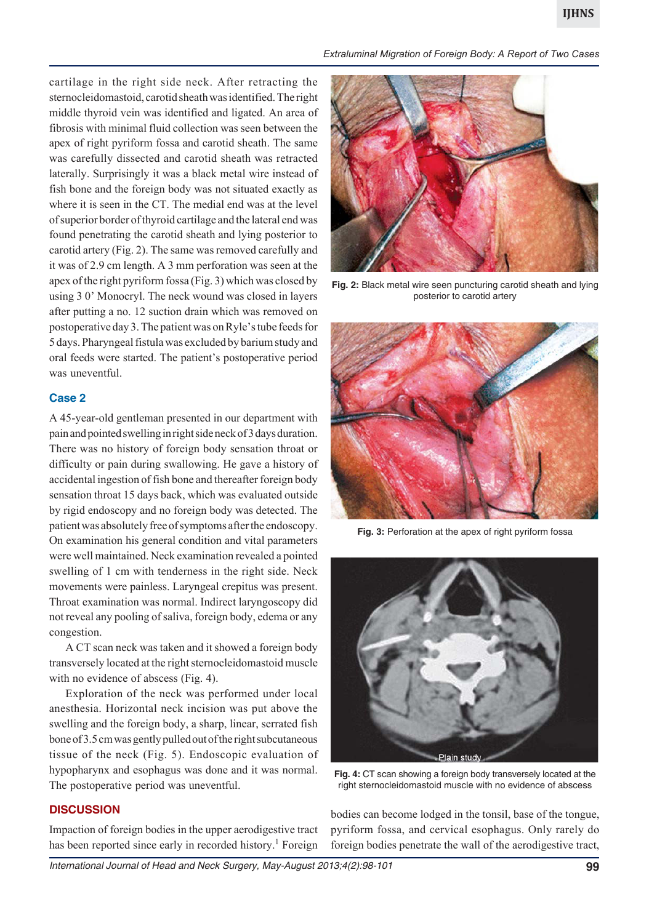cartilage in the right side neck. After retracting the sternocleidomastoid, carotid sheath was identified. The right middle thyroid vein was identified and ligated. An area of fibrosis with minimal fluid collection was seen between the apex of right pyriform fossa and carotid sheath. The same was carefully dissected and carotid sheath was retracted laterally. Surprisingly it was a black metal wire instead of fish bone and the foreign body was not situated exactly as where it is seen in the CT. The medial end was at the level of superior border of thyroid cartilage and the lateral end was found penetrating the carotid sheath and lying posterior to carotid artery (Fig. 2). The same was removed carefully and it was of 2.9 cm length. A 3 mm perforation was seen at the apex of the right pyriform fossa (Fig. 3) which was closed by using 3 0' Monocryl. The neck wound was closed in layers after putting a no. 12 suction drain which was removed on postoperative day 3. The patient was on Ryle's tube feeds for 5 days. Pharyngeal fistula was excluded by barium study and oral feeds were started. The patient's postoperative period was uneventful.

## **Case 2**

A 45-year-old gentleman presented in our department with pain and pointed swelling in right side neck of 3 days duration. There was no history of foreign body sensation throat or difficulty or pain during swallowing. He gave a history of accidental ingestion of fish bone and thereafter foreign body sensation throat 15 days back, which was evaluated outside by rigid endoscopy and no foreign body was detected. The patient was absolutely free of symptoms after the endoscopy. On examination his general condition and vital parameters were well maintained. Neck examination revealed a pointed swelling of 1 cm with tenderness in the right side. Neck movements were painless. Laryngeal crepitus was present. Throat examination was normal. Indirect laryngoscopy did not reveal any pooling of saliva, foreign body, edema or any congestion.

A CT scan neck was taken and it showed a foreign body transversely located at the right sternocleidomastoid muscle with no evidence of abscess (Fig. 4).

Exploration of the neck was performed under local anesthesia. Horizontal neck incision was put above the swelling and the foreign body, a sharp, linear, serrated fish bone of 3.5 cm was gently pulled out of the right subcutaneous tissue of the neck (Fig. 5). Endoscopic evaluation of hypopharynx and esophagus was done and it was normal. The postoperative period was uneventful.

*Extraluminal Migration of Foreign Body: A Report of Two Cases*



**Fig. 2:** Black metal wire seen puncturing carotid sheath and lying posterior to carotid artery



**Fig. 3:** Perforation at the apex of right pyriform fossa



**Fig. 4:** CT scan showing a foreign body transversely located at the right sternocleidomastoid muscle with no evidence of abscess

#### **DISCUSSION**

Impaction of foreign bodies in the upper aerodigestive tract has been reported since early in recorded history.<sup>1</sup> Foreign

bodies can become lodged in the tonsil, base of the tongue, pyriform fossa, and cervical esophagus. Only rarely do foreign bodies penetrate the wall of the aerodigestive tract,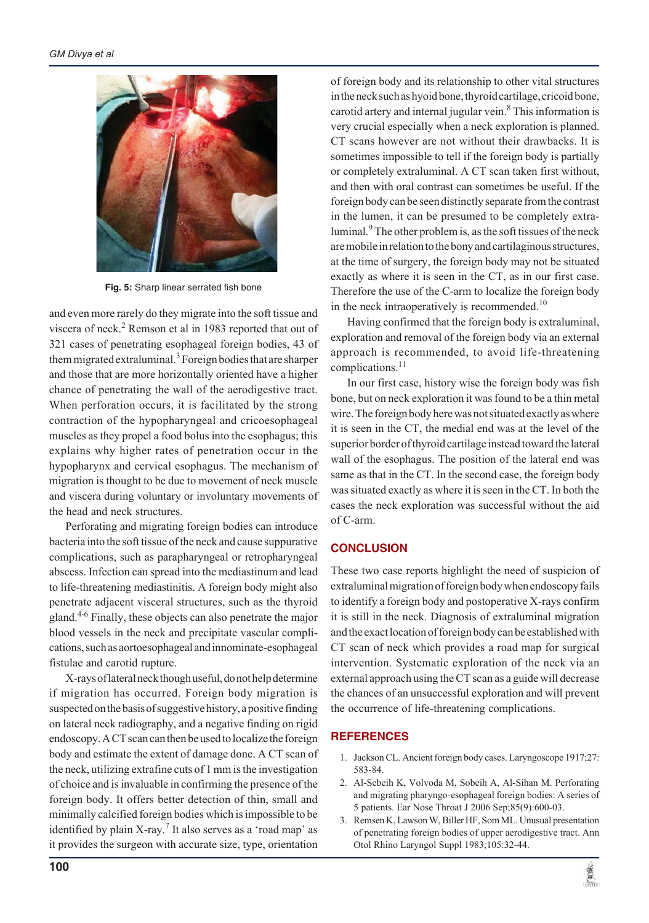

**Fig. 5:** Sharp linear serrated fish bone

and even more rarely do they migrate into the soft tissue and viscera of neck.<sup>2</sup> Remson et al in 1983 reported that out of 321 cases of penetrating esophageal foreign bodies, 43 of them migrated extraluminal.<sup>3</sup> Foreign bodies that are sharper and those that are more horizontally oriented have a higher chance of penetrating the wall of the aerodigestive tract. When perforation occurs, it is facilitated by the strong contraction of the hypopharyngeal and cricoesophageal muscles as they propel a food bolus into the esophagus; this explains why higher rates of penetration occur in the hypopharynx and cervical esophagus. The mechanism of migration is thought to be due to movement of neck muscle and viscera during voluntary or involuntary movements of the head and neck structures.

Perforating and migrating foreign bodies can introduce bacteria into the soft tissue of the neck and cause suppurative complications, such as parapharyngeal or retropharyngeal abscess. Infection can spread into the mediastinum and lead to life-threatening mediastinitis. A foreign body might also penetrate adjacent visceral structures, such as the thyroid gland.<sup>4-6</sup> Finally, these objects can also penetrate the major blood vessels in the neck and precipitate vascular complications, such as aortoesophageal and innominate-esophageal fistulae and carotid rupture.

X-rays of lateral neck though useful, do not help determine if migration has occurred. Foreign body migration is suspected on the basis of suggestive history, a positive finding on lateral neck radiography, and a negative finding on rigid endoscopy. A CT scan can then be used to localize the foreign body and estimate the extent of damage done. A CT scan of the neck, utilizing extrafine cuts of 1 mm is the investigation of choice and is invaluable in confirming the presence of the foreign body. It offers better detection of thin, small and minimally calcified foreign bodies which is impossible to be identified by plain X-ray.<sup>7</sup> It also serves as a 'road map' as it provides the surgeon with accurate size, type, orientation

of foreign body and its relationship to other vital structures in the neck such as hyoid bone, thyroid cartilage, cricoid bone, carotid artery and internal jugular vein.<sup>8</sup> This information is very crucial especially when a neck exploration is planned. CT scans however are not without their drawbacks. It is sometimes impossible to tell if the foreign body is partially or completely extraluminal. A CT scan taken first without, and then with oral contrast can sometimes be useful. If the foreign body can be seen distinctly separate from the contrast in the lumen, it can be presumed to be completely extraluminal.<sup>9</sup> The other problem is, as the soft tissues of the neck are mobile in relation to the bony and cartilaginous structures, at the time of surgery, the foreign body may not be situated exactly as where it is seen in the CT, as in our first case. Therefore the use of the C-arm to localize the foreign body in the neck intraoperatively is recommended.<sup>10</sup>

Having confirmed that the foreign body is extraluminal, exploration and removal of the foreign body via an external approach is recommended, to avoid life-threatening complications.<sup>11</sup>

In our first case, history wise the foreign body was fish bone, but on neck exploration it was found to be a thin metal wire. The foreign body here was not situated exactly as where it is seen in the CT, the medial end was at the level of the superior border of thyroid cartilage instead toward the lateral wall of the esophagus. The position of the lateral end was same as that in the CT. In the second case, the foreign body was situated exactly as where it is seen in the CT. In both the cases the neck exploration was successful without the aid of C-arm.

# **CONCLUSION**

These two case reports highlight the need of suspicion of extraluminal migration of foreign body when endoscopy fails to identify a foreign body and postoperative X-rays confirm it is still in the neck. Diagnosis of extraluminal migration and the exact location of foreign body can be established with CT scan of neck which provides a road map for surgical intervention. Systematic exploration of the neck via an external approach using the CT scan as a guide will decrease the chances of an unsuccessful exploration and will prevent the occurrence of life-threatening complications.

# **REFERENCES**

- 1. Jackson CL. Ancient foreign body cases. Laryngoscope 1917;27: 583-84.
- 2. Al-Sebeih K, Volvoda M, Sobeih A, Al-Sihan M. Perforating and migrating pharyngo-esophageal foreign bodies: A series of 5 patients. Ear Nose Throat J 2006 Sep;85(9):600-03.
- 3. Remsen K, Lawson W, Biller HF, Som ML. Unusual presentation of penetrating foreign bodies of upper aerodigestive tract. Ann Otol Rhino Laryngol Suppl 1983;105:32-44.

黨